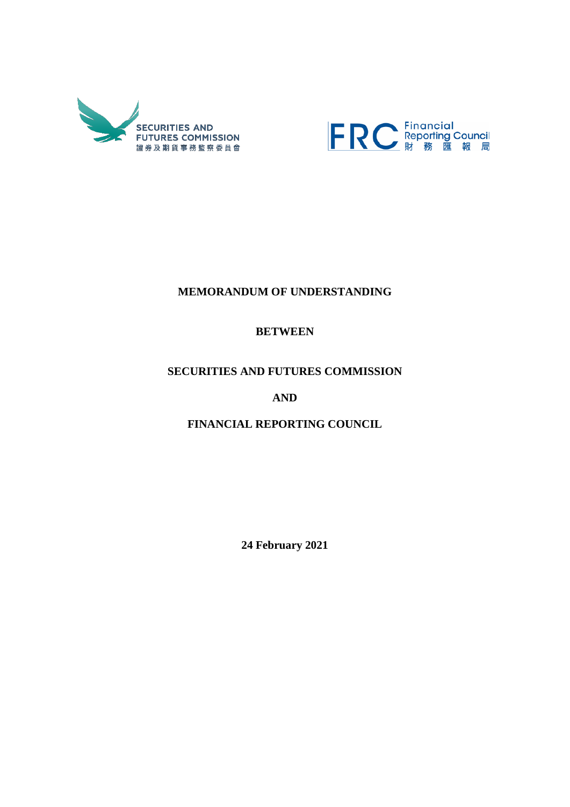



# **MEMORANDUM OF UNDERSTANDING**

# **BETWEEN**

# **SECURITIES AND FUTURES COMMISSION**

**AND**

**FINANCIAL REPORTING COUNCIL**

**24 February 2021**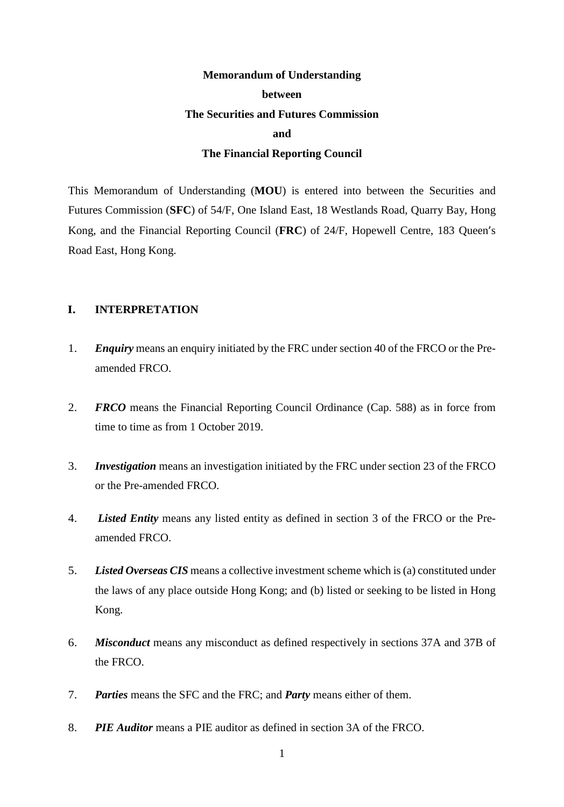# **Memorandum of Understanding between The Securities and Futures Commission and The Financial Reporting Council**

This Memorandum of Understanding (**MOU**) is entered into between the Securities and Futures Commission (**SFC**) of 54/F, One Island East, 18 Westlands Road, Quarry Bay, Hong Kong, and the Financial Reporting Council (**FRC**) of 24/F, Hopewell Centre, 183 Queen's Road East, Hong Kong.

## **I. INTERPRETATION**

- 1. *Enquiry* means an enquiry initiated by the FRC under section 40 of the FRCO or the Preamended FRCO.
- 2. *FRCO* means the Financial Reporting Council Ordinance (Cap. 588) as in force from time to time as from 1 October 2019.
- 3. *Investigation* means an investigation initiated by the FRC under section 23 of the FRCO or the Pre-amended FRCO.
- 4. *Listed Entity* means any listed entity as defined in section 3 of the FRCO or the Preamended FRCO.
- 5. *Listed Overseas CIS* means a collective investment scheme which is (a) constituted under the laws of any place outside Hong Kong; and (b) listed or seeking to be listed in Hong Kong.
- 6. *Misconduct* means any misconduct as defined respectively in sections 37A and 37B of the FRCO.
- 7. *Parties* means the SFC and the FRC; and *Party* means either of them.
- 8. *PIE Auditor* means a PIE auditor as defined in section 3A of the FRCO.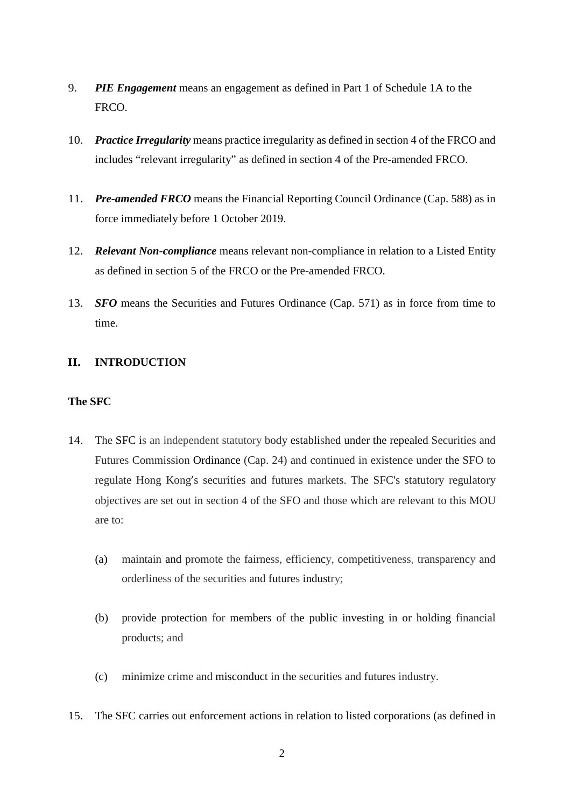- 9. *PIE Engagement* means an engagement as defined in Part 1 of Schedule 1A to the FRCO.
- 10. *Practice Irregularity* means practice irregularity as defined in section 4 of the FRCO and includes "relevant irregularity" as defined in section 4 of the Pre-amended FRCO.
- 11. *Pre-amended FRCO* means the Financial Reporting Council Ordinance (Cap. 588) as in force immediately before 1 October 2019.
- 12. *Relevant Non-compliance* means relevant non-compliance in relation to a Listed Entity as defined in section 5 of the FRCO or the Pre-amended FRCO.
- 13. *SFO* means the Securities and Futures Ordinance (Cap. 571) as in force from time to time.

# **II. INTRODUCTION**

# **The SFC**

- 14. The SFC is an independent statutory body established under the repealed Securities and Futures Commission Ordinance (Cap. 24) and continued in existence under the SFO to regulate Hong Kong's securities and futures markets. The SFC's statutory regulatory objectives are set out in section 4 of the SFO and those which are relevant to this MOU are to:
	- (a) maintain and promote the fairness, efficiency, competitiveness, transparency and orderliness of the securities and futures industry;
	- (b) provide protection for members of the public investing in or holding financial products; and
	- (c) minimize crime and misconduct in the securities and futures industry.
- 15. The SFC carries out enforcement actions in relation to listed corporations (as defined in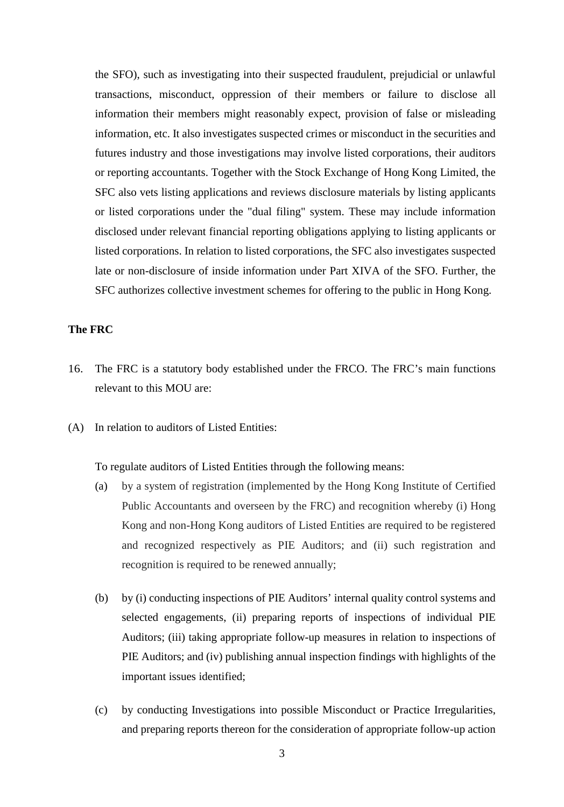the SFO), such as investigating into their suspected fraudulent, prejudicial or unlawful transactions, misconduct, oppression of their members or failure to disclose all information their members might reasonably expect, provision of false or misleading information, etc. It also investigates suspected crimes or misconduct in the securities and futures industry and those investigations may involve listed corporations, their auditors or reporting accountants. Together with the Stock Exchange of Hong Kong Limited, the SFC also vets listing applications and reviews disclosure materials by listing applicants or listed corporations under the "dual filing" system. These may include information disclosed under relevant financial reporting obligations applying to listing applicants or listed corporations. In relation to listed corporations, the SFC also investigates suspected late or non-disclosure of inside information under Part XIVA of the SFO. Further, the SFC authorizes collective investment schemes for offering to the public in Hong Kong.

# **The FRC**

- 16. The FRC is a statutory body established under the FRCO. The FRC's main functions relevant to this MOU are:
- (A) In relation to auditors of Listed Entities:

To regulate auditors of Listed Entities through the following means:

- (a) by a system of registration (implemented by the Hong Kong Institute of Certified Public Accountants and overseen by the FRC) and recognition whereby (i) Hong Kong and non-Hong Kong auditors of Listed Entities are required to be registered and recognized respectively as PIE Auditors; and (ii) such registration and recognition is required to be renewed annually;
- (b) by (i) conducting inspections of PIE Auditors' internal quality control systems and selected engagements, (ii) preparing reports of inspections of individual PIE Auditors; (iii) taking appropriate follow-up measures in relation to inspections of PIE Auditors; and (iv) publishing annual inspection findings with highlights of the important issues identified;
- (c) by conducting Investigations into possible Misconduct or Practice Irregularities, and preparing reports thereon for the consideration of appropriate follow-up action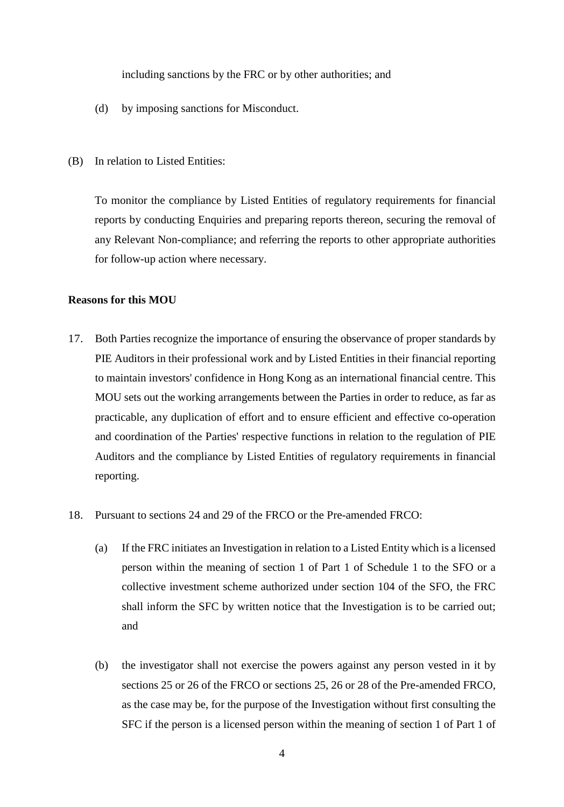including sanctions by the FRC or by other authorities; and

- (d) by imposing sanctions for Misconduct.
- (B) In relation to Listed Entities:

To monitor the compliance by Listed Entities of regulatory requirements for financial reports by conducting Enquiries and preparing reports thereon, securing the removal of any Relevant Non-compliance; and referring the reports to other appropriate authorities for follow-up action where necessary.

#### **Reasons for this MOU**

- 17. Both Parties recognize the importance of ensuring the observance of proper standards by PIE Auditors in their professional work and by Listed Entities in their financial reporting to maintain investors' confidence in Hong Kong as an international financial centre. This MOU sets out the working arrangements between the Parties in order to reduce, as far as practicable, any duplication of effort and to ensure efficient and effective co-operation and coordination of the Parties' respective functions in relation to the regulation of PIE Auditors and the compliance by Listed Entities of regulatory requirements in financial reporting.
- 18. Pursuant to sections 24 and 29 of the FRCO or the Pre-amended FRCO:
	- (a) If the FRC initiates an Investigation in relation to a Listed Entity which is a licensed person within the meaning of section 1 of Part 1 of Schedule 1 to the SFO or a collective investment scheme authorized under section 104 of the SFO, the FRC shall inform the SFC by written notice that the Investigation is to be carried out; and
	- (b) the investigator shall not exercise the powers against any person vested in it by sections 25 or 26 of the FRCO or sections 25, 26 or 28 of the Pre-amended FRCO, as the case may be, for the purpose of the Investigation without first consulting the SFC if the person is a licensed person within the meaning of section 1 of Part 1 of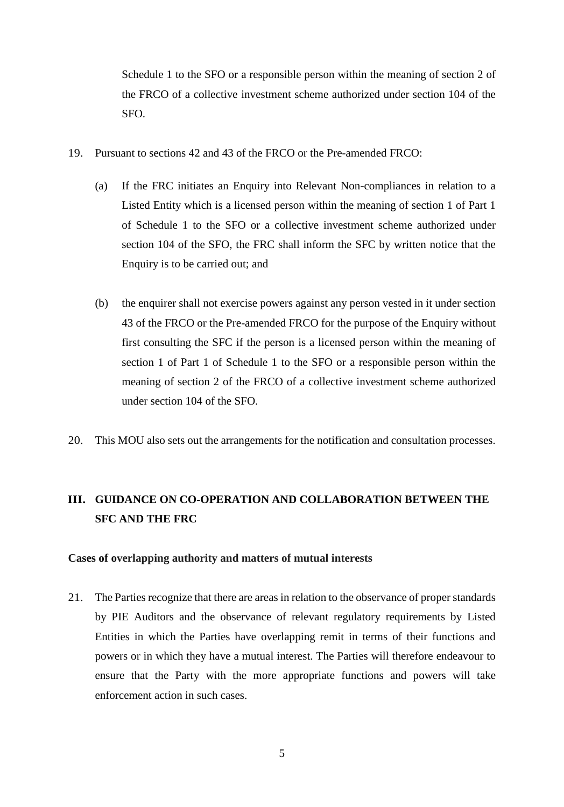Schedule 1 to the SFO or a responsible person within the meaning of section 2 of the FRCO of a collective investment scheme authorized under section 104 of the SFO.

- <span id="page-5-0"></span>19. Pursuant to sections 42 and 43 of the FRCO or the Pre-amended FRCO:
	- (a) If the FRC initiates an Enquiry into Relevant Non-compliances in relation to a Listed Entity which is a licensed person within the meaning of section 1 of Part 1 of Schedule 1 to the SFO or a collective investment scheme authorized under section 104 of the SFO, the FRC shall inform the SFC by written notice that the Enquiry is to be carried out; and
	- (b) the enquirer shall not exercise powers against any person vested in it under section 43 of the FRCO or the Pre-amended FRCO for the purpose of the Enquiry without first consulting the SFC if the person is a licensed person within the meaning of section 1 of Part 1 of Schedule 1 to the SFO or a responsible person within the meaning of section 2 of the FRCO of a collective investment scheme authorized under section 104 of the SFO.
- 20. This MOU also sets out the arrangements for the notification and consultation processes.

# **III. GUIDANCE ON CO-OPERATION AND COLLABORATION BETWEEN THE SFC AND THE FRC**

#### **Cases of overlapping authority and matters of mutual interests**

21. The Parties recognize that there are areas in relation to the observance of proper standards by PIE Auditors and the observance of relevant regulatory requirements by Listed Entities in which the Parties have overlapping remit in terms of their functions and powers or in which they have a mutual interest. The Parties will therefore endeavour to ensure that the Party with the more appropriate functions and powers will take enforcement action in such cases.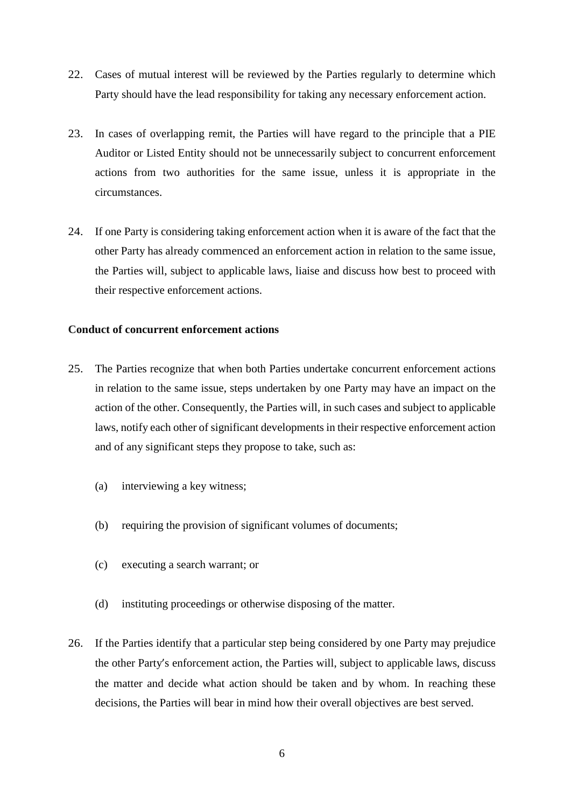- 22. Cases of mutual interest will be reviewed by the Parties regularly to determine which Party should have the lead responsibility for taking any necessary enforcement action.
- 23. In cases of overlapping remit, the Parties will have regard to the principle that a PIE Auditor or Listed Entity should not be unnecessarily subject to concurrent enforcement actions from two authorities for the same issue, unless it is appropriate in the circumstances.
- 24. If one Party is considering taking enforcement action when it is aware of the fact that the other Party has already commenced an enforcement action in relation to the same issue, the Parties will, subject to applicable laws, liaise and discuss how best to proceed with their respective enforcement actions.

## **Conduct of concurrent enforcement actions**

- 25. The Parties recognize that when both Parties undertake concurrent enforcement actions in relation to the same issue, steps undertaken by one Party may have an impact on the action of the other. Consequently, the Parties will, in such cases and subject to applicable laws, notify each other of significant developments in their respective enforcement action and of any significant steps they propose to take, such as:
	- (a) interviewing a key witness;
	- (b) requiring the provision of significant volumes of documents;
	- (c) executing a search warrant; or
	- (d) instituting proceedings or otherwise disposing of the matter.
- 26. If the Parties identify that a particular step being considered by one Party may prejudice the other Party's enforcement action, the Parties will, subject to applicable laws, discuss the matter and decide what action should be taken and by whom. In reaching these decisions, the Parties will bear in mind how their overall objectives are best served.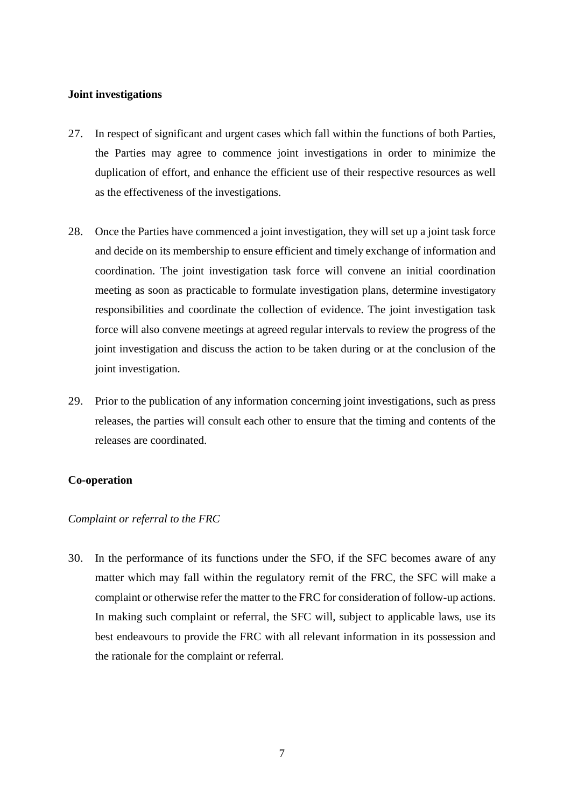#### **Joint investigations**

- 27. In respect of significant and urgent cases which fall within the functions of both Parties, the Parties may agree to commence joint investigations in order to minimize the duplication of effort, and enhance the efficient use of their respective resources as well as the effectiveness of the investigations.
- 28. Once the Parties have commenced a joint investigation, they will set up a joint task force and decide on its membership to ensure efficient and timely exchange of information and coordination. The joint investigation task force will convene an initial coordination meeting as soon as practicable to formulate investigation plans, determine investigatory responsibilities and coordinate the collection of evidence. The joint investigation task force will also convene meetings at agreed regular intervals to review the progress of the joint investigation and discuss the action to be taken during or at the conclusion of the joint investigation.
- 29. Prior to the publication of any information concerning joint investigations, such as press releases, the parties will consult each other to ensure that the timing and contents of the releases are coordinated.

## **Co-operation**

## *Complaint or referral to the FRC*

30. In the performance of its functions under the SFO, if the SFC becomes aware of any matter which may fall within the regulatory remit of the FRC, the SFC will make a complaint or otherwise refer the matter to the FRC for consideration of follow-up actions. In making such complaint or referral, the SFC will, subject to applicable laws, use its best endeavours to provide the FRC with all relevant information in its possession and the rationale for the complaint or referral.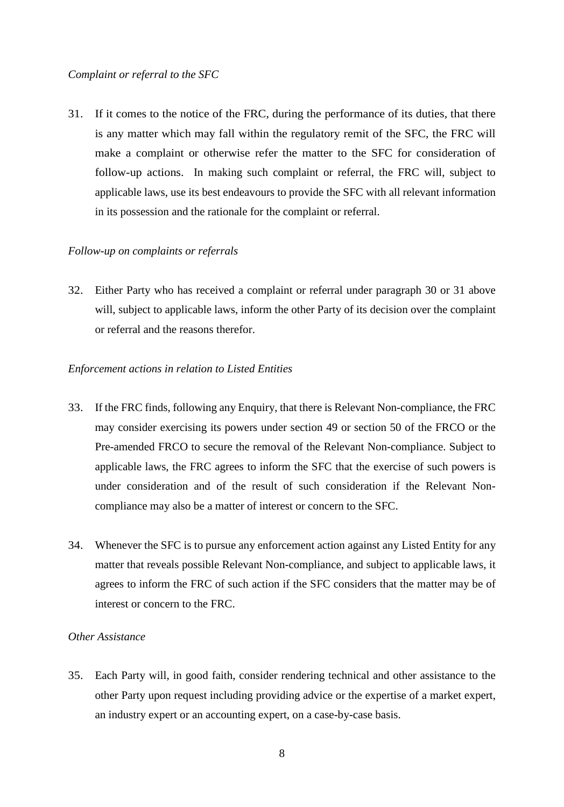#### *Complaint or referral to the SFC*

31. If it comes to the notice of the FRC, during the performance of its duties, that there is any matter which may fall within the regulatory remit of the SFC, the FRC will make a complaint or otherwise refer the matter to the SFC for consideration of follow-up actions. In making such complaint or referral, the FRC will, subject to applicable laws, use its best endeavours to provide the SFC with all relevant information in its possession and the rationale for the complaint or referral.

### *Follow-up on complaints or referrals*

32. Either Party who has received a complaint or referral under paragraph 30 or 31 above will, subject to applicable laws, inform the other Party of its decision over the complaint or referral and the reasons therefor.

#### *Enforcement actions in relation to Listed Entities*

- 33. If the FRC finds, following any Enquiry, that there is Relevant Non-compliance, the FRC may consider exercising its powers under section 49 or section 50 of the FRCO or the Pre-amended FRCO to secure the removal of the Relevant Non-compliance. Subject to applicable laws, the FRC agrees to inform the SFC that the exercise of such powers is under consideration and of the result of such consideration if the Relevant Noncompliance may also be a matter of interest or concern to the SFC.
- 34. Whenever the SFC is to pursue any enforcement action against any Listed Entity for any matter that reveals possible Relevant Non-compliance, and subject to applicable laws, it agrees to inform the FRC of such action if the SFC considers that the matter may be of interest or concern to the FRC.

# *Other Assistance*

35. Each Party will, in good faith, consider rendering technical and other assistance to the other Party upon request including providing advice or the expertise of a market expert, an industry expert or an accounting expert, on a case-by-case basis.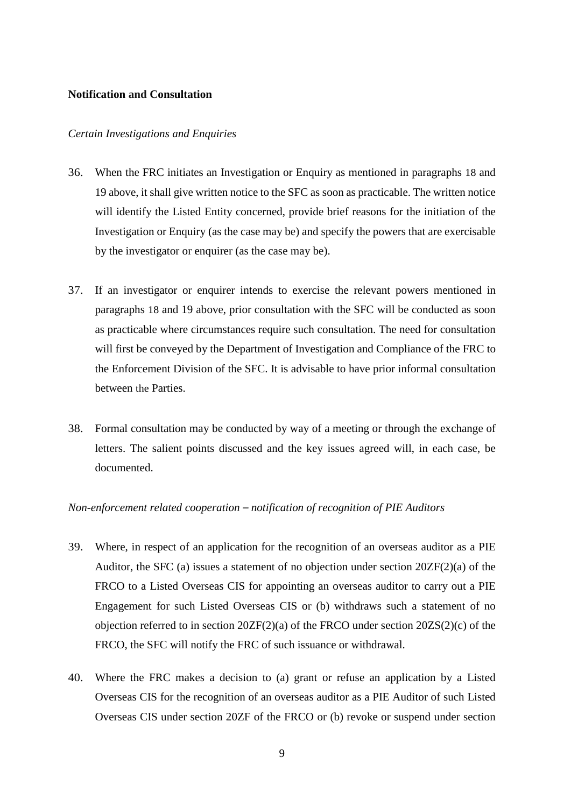#### **Notification and Consultation**

#### *Certain Investigations and Enquiries*

- 36. When the FRC initiates an Investigation or Enquiry as mentioned in paragraphs 18 and [19 above,](#page-5-0) it shall give written notice to the SFC as soon as practicable. The written notice will identify the Listed Entity concerned, provide brief reasons for the initiation of the Investigation or Enquiry (as the case may be) and specify the powers that are exercisable by the investigator or enquirer (as the case may be).
- 37. If an investigator or enquirer intends to exercise the relevant powers mentioned in paragraphs 18 and [19 above,](#page-5-0) prior consultation with the SFC will be conducted as soon as practicable where circumstances require such consultation. The need for consultation will first be conveyed by the Department of Investigation and Compliance of the FRC to the Enforcement Division of the SFC. It is advisable to have prior informal consultation between the Parties.
- 38. Formal consultation may be conducted by way of a meeting or through the exchange of letters. The salient points discussed and the key issues agreed will, in each case, be documented.

## *Non-enforcement related cooperation – notification of recognition of PIE Auditors*

- 39. Where, in respect of an application for the recognition of an overseas auditor as a PIE Auditor, the SFC (a) issues a statement of no objection under section 20ZF(2)(a) of the FRCO to a Listed Overseas CIS for appointing an overseas auditor to carry out a PIE Engagement for such Listed Overseas CIS or (b) withdraws such a statement of no objection referred to in section 20ZF(2)(a) of the FRCO under section 20ZS(2)(c) of the FRCO, the SFC will notify the FRC of such issuance or withdrawal.
- 40. Where the FRC makes a decision to (a) grant or refuse an application by a Listed Overseas CIS for the recognition of an overseas auditor as a PIE Auditor of such Listed Overseas CIS under section 20ZF of the FRCO or (b) revoke or suspend under section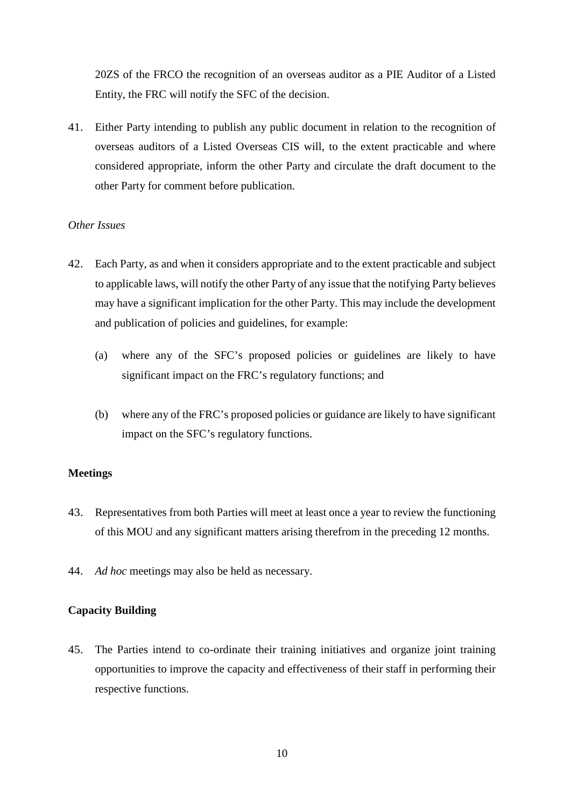20ZS of the FRCO the recognition of an overseas auditor as a PIE Auditor of a Listed Entity, the FRC will notify the SFC of the decision.

41. Either Party intending to publish any public document in relation to the recognition of overseas auditors of a Listed Overseas CIS will, to the extent practicable and where considered appropriate, inform the other Party and circulate the draft document to the other Party for comment before publication.

# *Other Issues*

- 42. Each Party, as and when it considers appropriate and to the extent practicable and subject to applicable laws, will notify the other Party of any issue that the notifying Party believes may have a significant implication for the other Party. This may include the development and publication of policies and guidelines, for example:
	- (a) where any of the SFC's proposed policies or guidelines are likely to have significant impact on the FRC's regulatory functions; and
	- (b) where any of the FRC's proposed policies or guidance are likely to have significant impact on the SFC's regulatory functions.

## **Meetings**

- 43. Representatives from both Parties will meet at least once a year to review the functioning of this MOU and any significant matters arising therefrom in the preceding 12 months.
- 44. *Ad hoc* meetings may also be held as necessary.

## **Capacity Building**

45. The Parties intend to co-ordinate their training initiatives and organize joint training opportunities to improve the capacity and effectiveness of their staff in performing their respective functions.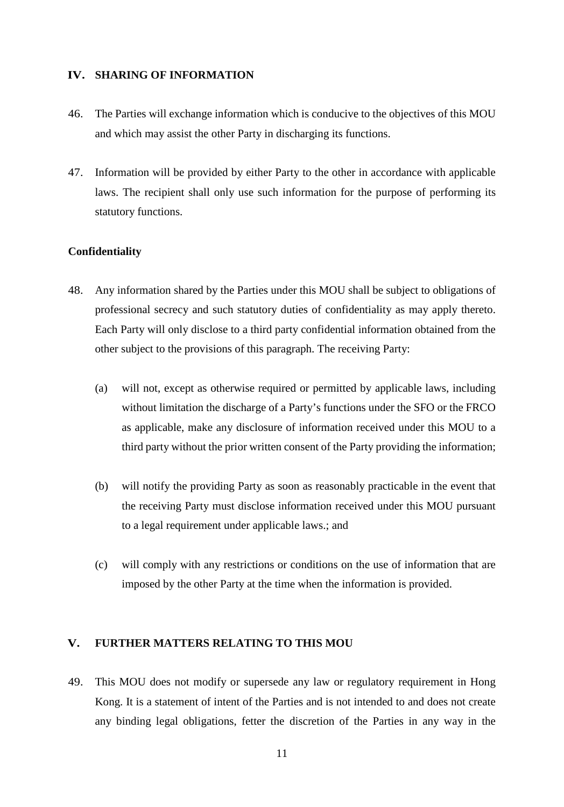# **IV. SHARING OF INFORMATION**

- 46. The Parties will exchange information which is conducive to the objectives of this MOU and which may assist the other Party in discharging its functions.
- 47. Information will be provided by either Party to the other in accordance with applicable laws. The recipient shall only use such information for the purpose of performing its statutory functions.

## **Confidentiality**

- 48. Any information shared by the Parties under this MOU shall be subject to obligations of professional secrecy and such statutory duties of confidentiality as may apply thereto. Each Party will only disclose to a third party confidential information obtained from the other subject to the provisions of this paragraph. The receiving Party:
	- (a) will not, except as otherwise required or permitted by applicable laws, including without limitation the discharge of a Party's functions under the SFO or the FRCO as applicable, make any disclosure of information received under this MOU to a third party without the prior written consent of the Party providing the information;
	- (b) will notify the providing Party as soon as reasonably practicable in the event that the receiving Party must disclose information received under this MOU pursuant to a legal requirement under applicable laws.; and
	- (c) will comply with any restrictions or conditions on the use of information that are imposed by the other Party at the time when the information is provided.

#### **V. FURTHER MATTERS RELATING TO THIS MOU**

49. This MOU does not modify or supersede any law or regulatory requirement in Hong Kong. It is a statement of intent of the Parties and is not intended to and does not create any binding legal obligations, fetter the discretion of the Parties in any way in the